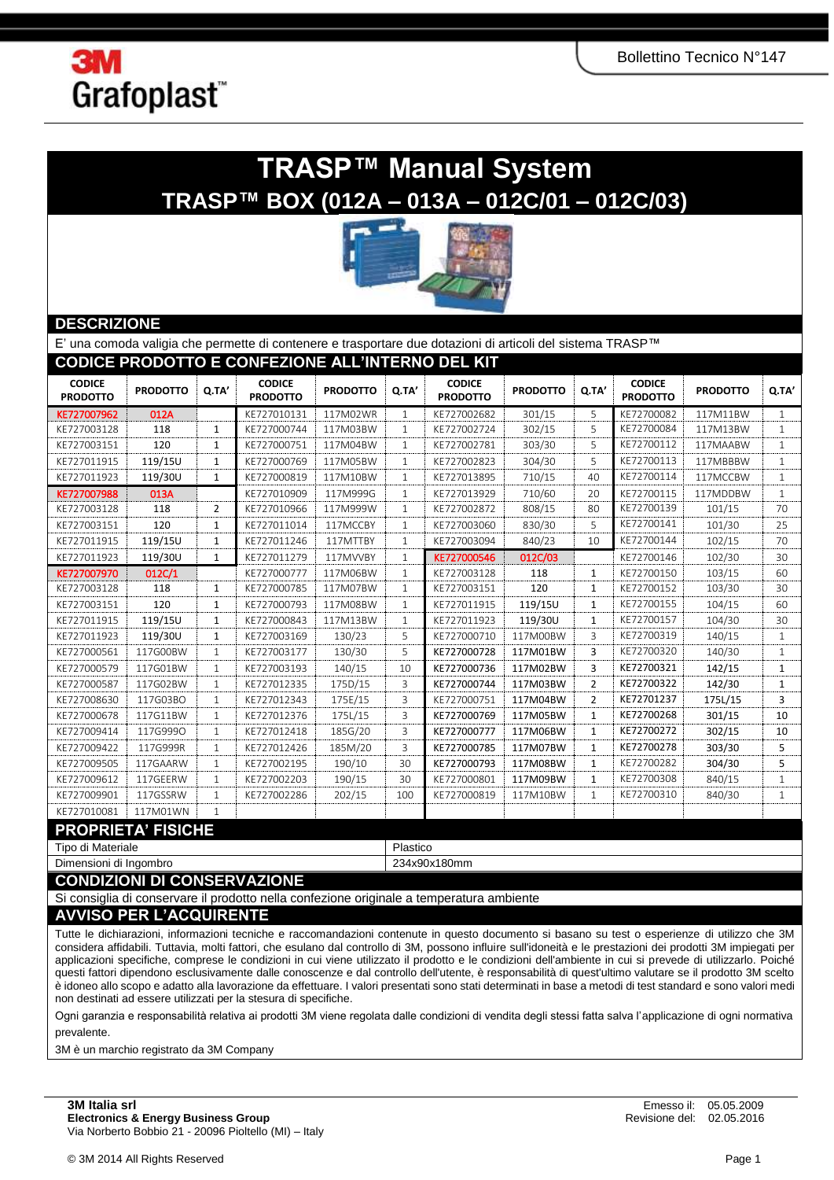

## **TRASP™ Manual System TRASP™ BOX (012A – 013A – 012C/01 – 012C/03)**



### **DESCRIZIONE**

|                                  |                 |                | E' una comoda valigia che permette di contenere e trasportare due dotazioni di articoli del sistema TRASP™ |                 |              |                                  |                 |                |                                  |                 |              |  |
|----------------------------------|-----------------|----------------|------------------------------------------------------------------------------------------------------------|-----------------|--------------|----------------------------------|-----------------|----------------|----------------------------------|-----------------|--------------|--|
|                                  |                 |                | CODICE PRODOTTO E CONFEZIONE ALL'INTERNO DEL KIT                                                           |                 |              |                                  |                 |                |                                  |                 |              |  |
| <b>CODICE</b><br><b>PRODOTTO</b> | <b>PRODOTTO</b> | Q.TA'          | <b>CODICE</b><br><b>PRODOTTO</b>                                                                           | <b>PRODOTTO</b> | Q.TA'        | <b>CODICE</b><br><b>PRODOTTO</b> | <b>PRODOTTO</b> | Q.TA'          | <b>CODICE</b><br><b>PRODOTTO</b> | <b>PRODOTTO</b> | Q.TA'        |  |
| KE727007962                      | 012A            |                | KE727010131                                                                                                | 117M02WR        | $\mathbf{1}$ | KE727002682                      | 301/15          | 5              | KE72700082                       | 117M11BW        | $\mathbf{1}$ |  |
| KE727003128                      | 118             | $\mathbf{1}$   | KE727000744                                                                                                | 117M03BW        | $\mathbf{1}$ | KE727002724                      | 302/15          | 5              | KE72700084                       | 117M13BW        | 1            |  |
| KE727003151                      | 120             | 1              | KE727000751                                                                                                | 117M04BW        | $\mathbf{1}$ | KE727002781                      | 303/30          | 5              | KE72700112                       | 117MAABW        | 1            |  |
| KE727011915                      | 119/15U         | $\mathbf{1}$   | KE727000769                                                                                                | 117M05BW        | $\mathbf{1}$ | KE727002823                      | 304/30          | 5              | KE72700113                       | 117MBBBW        | $\mathbf{1}$ |  |
| KE727011923                      | 119/30U         | 1              | KE727000819                                                                                                | 117M10BW        | 1            | KE727013895                      | 710/15          | 40             | KE72700114                       | 117MCCBW        | $\mathbf{1}$ |  |
| KE727007988                      | 013A            |                | KE727010909                                                                                                | 117M999G        | 1            | KE727013929                      | 710/60          | 20             | KE72700115                       | 117MDDBW        | 1            |  |
| KE727003128                      | 118             | $\overline{2}$ | KE727010966                                                                                                | 117M999W        | $\mathbf{1}$ | KE727002872                      | 808/15          | 80             | KE72700139                       | 101/15          | 70           |  |
| KE727003151                      | 120             | 1              | KE727011014                                                                                                | 117MCCBY        | $\mathbf{1}$ | KE727003060                      | 830/30          | 5              | KE72700141                       | 101/30          | 25           |  |
| KE727011915                      | 119/15U         | $\mathbf{1}$   | KE727011246                                                                                                | 117MTTBY        | $\mathbf{1}$ | KE727003094                      | 840/23          | 10             | KE72700144                       | 102/15          | 70           |  |
| KE727011923                      | 119/30U         | $\mathbf{1}$   | KE727011279                                                                                                | 117MVVBY        | 1            | KE727000546                      | 012C/03         |                | KE72700146                       | 102/30          | 30           |  |
| KE727007970                      | 012C/1          |                | KE727000777                                                                                                | 117M06BW        | 1            | KE727003128                      | 118             | 1              | KE72700150                       | 103/15          | 60           |  |
| KE727003128                      | 118             | $\mathbf{1}$   | KE727000785                                                                                                | 117M07BW        | 1            | KE727003151                      | 120             | 1              | KE72700152                       | 103/30          | 30           |  |
| KE727003151                      | 120             | $\mathbf{1}$   | KE727000793                                                                                                | 117M08BW        | 1            | KE727011915                      | 119/15U         | $\mathbf{1}$   | KE72700155                       | 104/15          | 60           |  |
| KE727011915                      | 119/15U         | $\mathbf{1}$   | KE727000843                                                                                                | 117M13BW        | $\mathbf{1}$ | KE727011923                      | 119/30U         | 1              | KE72700157                       | 104/30          | 30           |  |
| KE727011923                      | 119/30U         | 1              | KE727003169                                                                                                | 130/23          | 5            | KE727000710                      | 117M00BW        | 3              | KE72700319                       | 140/15          | 1            |  |
| KE727000561                      | 117G00BW        | $\mathbf{1}$   | KE727003177                                                                                                | 130/30          | 5            | KE727000728                      | 117M01BW        | 3              | KE72700320                       | 140/30          | 1            |  |
| KE727000579                      | 117G01BW        | $\mathbf{1}$   | KE727003193                                                                                                | 140/15          | 10           | KE727000736                      | 117M02BW        | 3              | KE72700321                       | 142/15          | 1            |  |
| KE727000587                      | 117G02BW        | $\mathbf{1}$   | KE727012335                                                                                                | 175D/15         | 3            | KE727000744                      | 117M03BW        | $\overline{2}$ | KE72700322                       | 142/30          | 1            |  |
| KE727008630                      | 117G03BO        | $\mathbf{1}$   | KE727012343                                                                                                | 175E/15         | 3            | KE727000751                      | 117M04BW        | $\overline{2}$ | KE72701237                       | 175L/15         | 3            |  |
| KE727000678                      | 117G11BW        | $\mathbf{1}$   | KE727012376                                                                                                | 175L/15         | 3            | KE727000769                      | 117M05BW        | $\mathbf{1}$   | KE72700268                       | 301/15          | 10           |  |
| KE727009414                      | 117G9990        | $\mathbf{1}$   | KE727012418                                                                                                | 185G/20         | 3            | KE727000777                      | 117M06BW        | $\mathbf{1}$   | KE72700272                       | 302/15          | 10           |  |
| KE727009422                      | 117G999R        | $\mathbf{1}$   | KE727012426                                                                                                | 185M/20         | 3            | KE727000785                      | 117M07BW        | 1              | KE72700278                       | 303/30          | 5            |  |
| KE727009505                      | 117GAARW        | 1              | KE727002195                                                                                                | 190/10          | 30           | KE727000793                      | 117M08BW        | 1              | KE72700282                       | 304/30          | 5            |  |
| KE727009612                      | 117GEERW        | $\mathbf{1}$   | KE727002203                                                                                                | 190/15          | 30           | KE727000801                      | 117M09BW        | 1              | KE72700308                       | 840/15          | $\mathbf{1}$ |  |
| KE727009901                      | 117GSSRW        | 1              | KE727002286                                                                                                | 202/15          | 100          | KE727000819                      | 117M10BW        | $\mathbf{1}$   | KE72700310                       | 840/30          | 1            |  |
| KE727010081                      | 117M01WN        | $\mathbf{1}$   |                                                                                                            |                 |              |                                  |                 |                |                                  |                 |              |  |
| <b>PROPRIETA' FISICHE</b>        |                 |                |                                                                                                            |                 |              |                                  |                 |                |                                  |                 |              |  |
| Tipo di Materiale                |                 |                |                                                                                                            |                 | Plastico     |                                  |                 |                |                                  |                 |              |  |

Dimensioni di Ingombro 234x90x180mm

**CONDIZIONI DI CONSERVAZIONE**

Si consiglia di conservare il prodotto nella confezione originale a temperatura ambiente

#### **AVVISO PER L'ACQUIRENTE**

Tutte le dichiarazioni, informazioni tecniche e raccomandazioni contenute in questo documento si basano su test o esperienze di utilizzo che 3M considera affidabili. Tuttavia, molti fattori, che esulano dal controllo di 3M, possono influire sull'idoneità e le prestazioni dei prodotti 3M impiegati per applicazioni specifiche, comprese le condizioni in cui viene utilizzato il prodotto e le condizioni dell'ambiente in cui si prevede di utilizzarlo. Poiché questi fattori dipendono esclusivamente dalle conoscenze e dal controllo dell'utente, è responsabilità di quest'ultimo valutare se il prodotto 3M scelto è idoneo allo scopo e adatto alla lavorazione da effettuare. I valori presentati sono stati determinati in base a metodi di test standard e sono valori medi non destinati ad essere utilizzati per la stesura di specifiche.

Ogni garanzia e responsabilità relativa ai prodotti 3M viene regolata dalle condizioni di vendita degli stessi fatta salva l'applicazione di ogni normativa prevalente.

3M è un marchio registrato da 3M Company